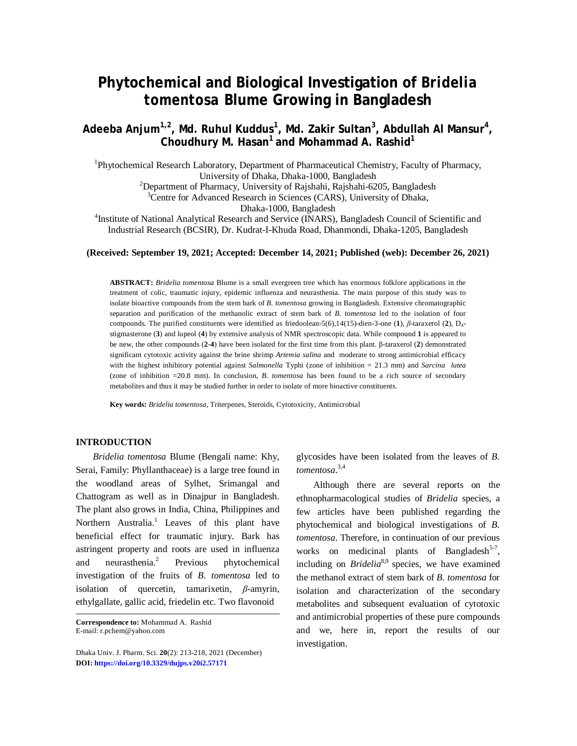# **Phytochemical and Biological Investigation of** *Bridelia tomentosa* **Blume Growing in Bangladesh**

**Adeeba Anjum1,2, Md. Ruhul Kuddus<sup>1</sup> , Md. Zakir Sultan<sup>3</sup> , Abdullah Al Mansur<sup>4</sup> , Choudhury M. Hasan<sup>1</sup> and Mohammad A. Rashid<sup>1</sup>**

<sup>1</sup>Phytochemical Research Laboratory, Department of Pharmaceutical Chemistry, Faculty of Pharmacy, University of Dhaka, Dhaka-1000, Bangladesh

<sup>2</sup>Department of Pharmacy, University of Rajshahi, Rajshahi-6205, Bangladesh

 $3$ Centre for Advanced Research in Sciences (CARS), University of Dhaka,

Dhaka-1000, Bangladesh

<sup>4</sup>Institute of National Analytical Research and Service (INARS), Bangladesh Council of Scientific and Industrial Research (BCSIR), Dr. Kudrat-I-Khuda Road, Dhanmondi, Dhaka-1205, Bangladesh

#### **(Received: September 19, 2021; Accepted: December 14, 2021; Published (web): December 26, 2021)**

**ABSTRACT:** *Bridelia tomentosa* Blume is a small evergreen tree which has enormous folklore applications in the treatment of colic, traumatic injury, epidemic influenza and neurasthenia. The main purpose of this study was to isolate bioactive compounds from the stem bark of *B. tomentosa* growing in Bangladesh. Extensive chromatographic separation and purification of the methanolic extract of stem bark of *B. tomentosa* led to the isolation of four compounds. The purified constituents were identified as friedoolean-5(6),14(15)-dien-3-one (**1**), *β*-taraxerol (**2**), D4 stigmasterone (**3**) and lupeol (**4**) by extensive analysis of NMR spectroscopic data. While compound **1** is appeared to be new, the other compounds (**2**-**4**) have been isolated for the first time from this plant. β-taraxerol (**2**) demonstrated significant cytotoxic activity against the brine shrimp *Artemia salina* and moderate to strong antimicrobial efficacy with the highest inhibitory potential against *Salmonella* Typhi (zone of inhibition = 21.3 mm) and *Sarcina lutea* (zone of inhibition =20.8 mm). In conclusion, *B. tomentosa* has been found to be a rich source of secondary metabolites and thus it may be studied further in order to isolate of more bioactive constituents.

**Key words:** *Bridelia tomentosa*, Triterpenes, Steroids, Cytotoxicity, Antimicrobial

# **INTRODUCTION**

*Bridelia tomentosa* Blume (Bengali name: Khy, Serai, Family: Phyllanthaceae) is a large tree found in the woodland areas of Sylhet, Srimangal and Chattogram as well as in Dinajpur in Bangladesh. The plant also grows in India, China, Philippines and Northern Australia.<sup>1</sup> Leaves of this plant have beneficial effect for traumatic injury. Bark has astringent property and roots are used in influenza and neurasthenia. 2 Previous phytochemical investigation of the fruits of *B. tomentosa* led to isolation of quercetin, tamarixetin, *β*-amyrin, ethylgallate, gallic acid, friedelin etc. Two flavonoid

glycosides have been isolated from the leaves of *B. tomentosa*. 3,4

Although there are several reports on the ethnopharmacological studies of *Bridelia* species, a few articles have been published regarding the phytochemical and biological investigations of *B. tomentosa*. Therefore, in continuation of our previous works on medicinal plants of Bangladesh<sup>5-7</sup>, including on *Bridelia*<sup>8,9</sup> species, we have examined the methanol extract of stem bark of *B. tomentosa* for isolation and characterization of the secondary metabolites and subsequent evaluation of cytotoxic and antimicrobial properties of these pure compounds and we, here in, report the results of our investigation.

**Correspondence to:** Mohammad A. Rashid E-mail: [r.pchem@yahoo.com](mailto:r.pchem@yahoo.com)

Dhaka Univ. J. Pharm. Sci. **20**(2): 213-218, 2021 (December) **DOI:<https://doi.org/10.3329/dujps.v20i2.57171>**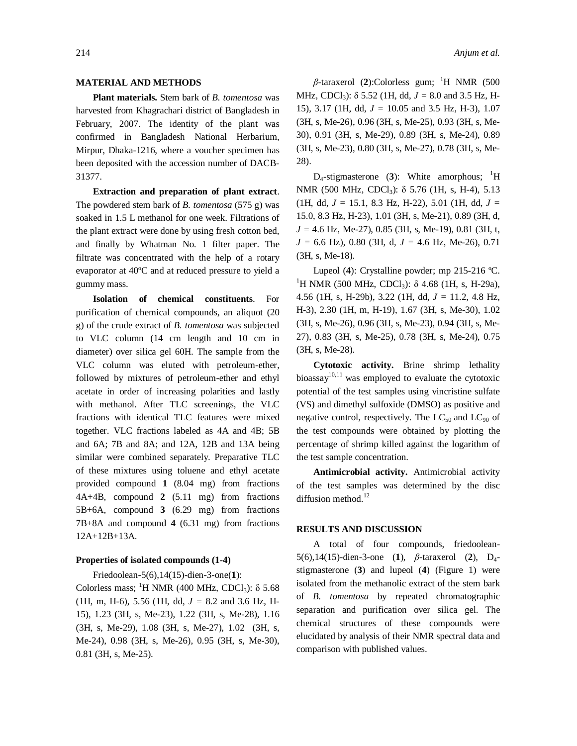# **MATERIAL AND METHODS**

**Plant materials.** Stem bark of *B. tomentosa* was harvested from Khagrachari district of Bangladesh in February, 2007. The identity of the plant was confirmed in Bangladesh National Herbarium, Mirpur, Dhaka-1216, where a voucher specimen has been deposited with the accession number of DACB-31377.

**Extraction and preparation of plant extract**. The powdered stem bark of *B. tomentosa* (575 g) was soaked in 1.5 L methanol for one week. Filtrations of the plant extract were done by using fresh cotton bed, and finally by Whatman No. 1 filter paper. The filtrate was concentrated with the help of a rotary evaporator at 40ºC and at reduced pressure to yield a gummy mass.

**Isolation of chemical constituents**. For purification of chemical compounds, an aliquot (20 g) of the crude extract of *B. tomentosa* was subjected to VLC column (14 cm length and 10 cm in diameter) over silica gel 60H. The sample from the VLC column was eluted with petroleum-ether, followed by mixtures of petroleum-ether and ethyl acetate in order of increasing polarities and lastly with methanol. After TLC screenings, the VLC fractions with identical TLC features were mixed together. VLC fractions labeled as 4A and 4B; 5B and 6A; 7B and 8A; and 12A, 12B and 13A being similar were combined separately. Preparative TLC of these mixtures using toluene and ethyl acetate provided compound **1** (8.04 mg) from fractions 4A+4B, compound **2** (5.11 mg) from fractions 5B+6A, compound **3** (6.29 mg) from fractions 7B+8A and compound **4** (6.31 mg) from fractions 12A+12B+13A.

### **Properties of isolated compounds (1-4)**

Friedoolean-5(6),14(15)-dien-3-one(**1**):

Colorless mass; <sup>1</sup>H NMR (400 MHz, CDCl<sub>3</sub>):  $\delta$  5.68 (1H, m, H-6), 5.56 (1H, dd, *J =* 8.2 and 3.6 Hz, H-15), 1.23 (3H, s, Me-23), 1.22 (3H, s, Me-28), 1.16 (3H, s, Me-29), 1.08 (3H, s, Me-27), 1.02 (3H, s, Me-24), 0.98 (3H, s, Me-26), 0.95 (3H, s, Me-30), 0.81 (3H, s, Me-25).

214 *Anjum et al.*

 $β$ -taraxerol (2):Colorless gum; <sup>1</sup>H NMR (500 MHz, CDCl3): δ 5.52 (1H, dd, *J =* 8.0 and 3.5 Hz, H-15), 3.17 (1H, dd, *J =* 10.05 and 3.5 Hz, H-3), 1.07 (3H, s, Me-26), 0.96 (3H, s, Me-25), 0.93 (3H, s, Me-30), 0.91 (3H, s, Me-29), 0.89 (3H, s, Me-24), 0.89 (3H, s, Me-23), 0.80 (3H, s, Me-27), 0.78 (3H, s, Me-28).

 $D_4$ -stigmasterone (3): White amorphous; <sup>1</sup>H NMR (500 MHz, CDCl<sub>3</sub>): δ 5.76 (1H, s, H-4), 5.13 (1H, dd, *J =* 15.1, 8.3 Hz, H-22), 5.01 (1H, dd, *J =* 15.0, 8.3 Hz, H-23), 1.01 (3H, s, Me-21), 0.89 (3H, d, *J =* 4.6 Hz, Me-27), 0.85 (3H, s, Me-19), 0.81 (3H, t, *J =* 6.6 Hz), 0.80 (3H, d, *J =* 4.6 Hz, Me-26), 0.71 (3H, s, Me-18).

Lupeol (**4**): Crystalline powder; mp 215-216 ºC. <sup>1</sup>H NMR (500 MHz, CDCl<sub>3</sub>): δ 4.68 (1H, s, H-29a), 4.56 (1H, s, H-29b), 3.22 (1H, dd, *J =* 11.2, 4.8 Hz, H-3), 2.30 (1H, m, H-19), 1.67 (3H, s, Me-30), 1.02 (3H, s, Me-26), 0.96 (3H, s, Me-23), 0.94 (3H, s, Me-27), 0.83 (3H, s, Me-25), 0.78 (3H, s, Me-24), 0.75 (3H, s, Me-28).

**Cytotoxic activity.** Brine shrimp lethality bioassay<sup>10,11</sup> was employed to evaluate the cytotoxic potential of the test samples using vincristine sulfate (VS) and dimethyl sulfoxide (DMSO) as positive and negative control, respectively. The  $LC_{50}$  and  $LC_{90}$  of the test compounds were obtained by plotting the percentage of shrimp killed against the logarithm of the test sample concentration.

**Antimicrobial activity.** Antimicrobial activity of the test samples was determined by the disc diffusion method.<sup>12</sup>

#### **RESULTS AND DISCUSSION**

A total of four compounds, friedoolean-5(6),14(15)-dien-3-one (**1**), *β*-taraxerol (**2**), D4 stigmasterone (**3**) and lupeol (**4**) (Figure 1) were isolated from the methanolic extract of the stem bark of *B. tomentosa* by repeated chromatographic separation and purification over silica gel. The chemical structures of these compounds were elucidated by analysis of their NMR spectral data and comparison with published values.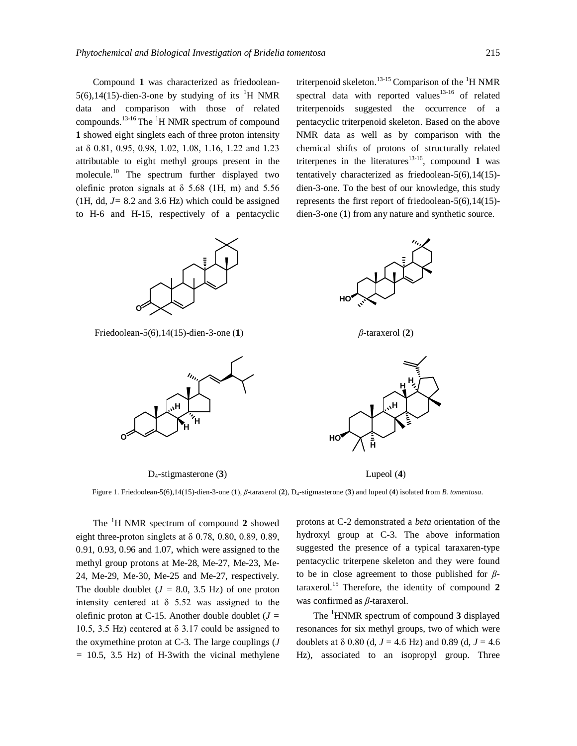Compound **1** was characterized as friedoolean-5(6),14(15)-dien-3-one by studying of its <sup>1</sup>H NMR data and comparison with those of related compounds.13-16 The <sup>1</sup>H NMR spectrum of compound **1** showed eight singlets each of three proton intensity at δ 0.81, 0.95, 0.98, 1.02, 1.08, 1.16, 1.22 and 1.23 attributable to eight methyl groups present in the molecule.<sup>10</sup> The spectrum further displayed two olefinic proton signals at  $\delta$  5.68 (1H, m) and 5.56 (1H, dd,  $J = 8.2$  and 3.6 Hz) which could be assigned to H-6 and H-15, respectively of a pentacyclic



Friedoolean-5(6),14(15)-dien-3-one (**1**) *β*-taraxerol (**2**)



D4-stigmasterone (**3**) Lupeol (**4**)

triterpenoid skeleton.<sup>13-15</sup> Comparison of the <sup>1</sup>H NMR spectral data with reported values<sup>13-16</sup> of related triterpenoids suggested the occurrence of a pentacyclic triterpenoid skeleton. Based on the above NMR data as well as by comparison with the chemical shifts of protons of structurally related triterpenes in the literatures<sup>13-16</sup>, compound 1 was tentatively characterized as friedoolean-5(6),14(15) dien-3-one. To the best of our knowledge, this study represents the first report of friedoolean-5(6),14(15) dien-3-one (**1**) from any nature and synthetic source.





Figure 1. Friedoolean-5(6),14(15)-dien-3-one (**1**), *β*-taraxerol (**2**), D4-stigmasterone (**3**) and lupeol (**4**) isolated from *B. tomentosa*.

The <sup>1</sup>H NMR spectrum of compound **2** showed eight three-proton singlets at  $\delta$  0.78, 0.80, 0.89, 0.89, 0.91, 0.93, 0.96 and 1.07, which were assigned to the methyl group protons at Me-28, Me-27, Me-23, Me-24, Me-29, Me-30, Me-25 and Me-27, respectively. The double doublet  $(J = 8.0, 3.5 \text{ Hz})$  of one proton intensity centered at  $\delta$  5.52 was assigned to the olefinic proton at C-15. Another double doublet (*J =* 10.5, 3.5 Hz) centered at  $\delta$  3.17 could be assigned to the oxymethine proton at C-3. The large couplings (*J =* 10.5, 3.5 Hz) of H-3with the vicinal methylene protons at C-2 demonstrated a *beta* orientation of the hydroxyl group at C-3. The above information suggested the presence of a typical taraxaren-type pentacyclic triterpene skeleton and they were found to be in close agreement to those published for *β*taraxerol. <sup>15</sup> Therefore, the identity of compound **2** was confirmed as *β*-taraxerol.

The <sup>1</sup>HNMR spectrum of compound **3** displayed resonances for six methyl groups, two of which were doublets at δ 0.80 (d*, J* = 4.6 Hz) and 0.89 (d*, J* = 4.6 Hz), associated to an isopropyl group. Three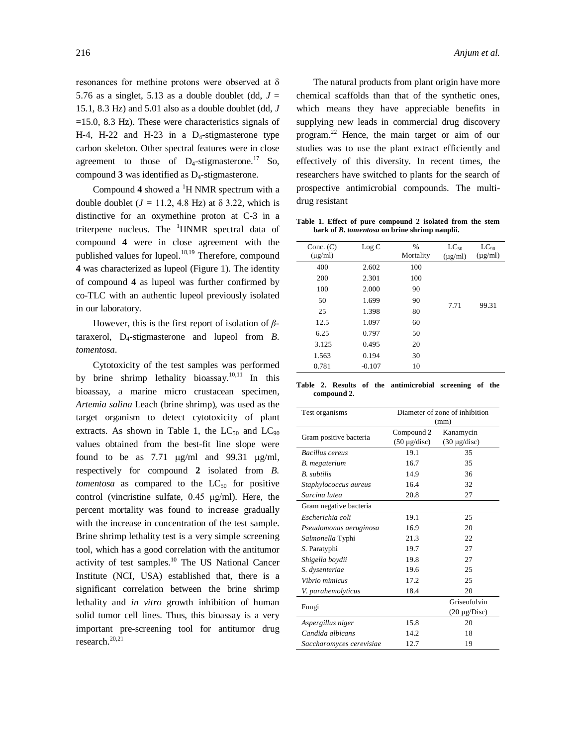resonances for methine protons were observed at δ 5.76 as a singlet, 5.13 as a double doublet (dd,  $J =$ 15.1, 8.3 Hz) and 5.01 also as a double doublet (dd, *J*   $=15.0$ , 8.3 Hz). These were characteristics signals of H-4, H-22 and H-23 in a  $D_4$ -stigmasterone type carbon skeleton. Other spectral features were in close agreement to those of  $D_4$ -stigmasterone.<sup>17</sup> So, compound **3** was identified as D4-stigmasterone.

Compound 4 showed a <sup>1</sup>H NMR spectrum with a double doublet  $(J = 11.2, 4.8 \text{ Hz})$  at  $\delta$  3.22, which is distinctive for an oxymethine proton at C-3 in a triterpene nucleus. The  $\mathrm{^1H NMR}$  spectral data of compound **4** were in close agreement with the published values for lupeol. $18,19$  Therefore, compound **4** was characterized as lupeol (Figure 1). The identity of compound **4** as lupeol was further confirmed by co-TLC with an authentic lupeol previously isolated in our laboratory.

However, this is the first report of isolation of *β*taraxerol, D<sub>4</sub>-stigmasterone and lupeol from *B*. *tomentosa*.

Cytotoxicity of the test samples was performed by brine shrimp lethality bioassay.<sup>10,11</sup> In this bioassay, a marine micro crustacean specimen, *Artemia salina* Leach (brine shrimp), was used as the target organism to detect cytotoxicity of plant extracts. As shown in Table 1, the  $LC_{50}$  and  $LC_{90}$ values obtained from the best-fit line slope were found to be as 7.71  $\mu$ g/ml and 99.31  $\mu$ g/ml, respectively for compound **2** isolated from *B. tomentosa* as compared to the  $LC_{50}$  for positive control (vincristine sulfate, 0.45 μg/ml). Here, the percent mortality was found to increase gradually with the increase in concentration of the test sample. Brine shrimp lethality test is a very simple screening tool, which has a good correlation with the antitumor activity of test samples.<sup>10</sup> The US National Cancer Institute (NCI, USA) established that, there is a significant correlation between the brine shrimp lethality and *in vitro* growth inhibition of human solid tumor cell lines. Thus, this bioassay is a very important pre-screening tool for antitumor drug research. 20,21

The natural products from plant origin have more chemical scaffolds than that of the synthetic ones, which means they have appreciable benefits in supplying new leads in commercial drug discovery program.<sup>22</sup> Hence, the main target or aim of our studies was to use the plant extract efficiently and effectively of this diversity. In recent times, the researchers have switched to plants for the search of prospective antimicrobial compounds. The multidrug resistant

**Table 1. Effect of pure compound 2 isolated from the stem bark of** *B. tomentosa* **on brine shrimp nauplii.**

| Conc. $(C)$<br>$(\mu g/ml)$ | Log C    | %<br>Mortality | $LC_{50}$<br>$(\mu g/ml)$ | $LC_{90}$<br>$(\mu g/ml)$ |
|-----------------------------|----------|----------------|---------------------------|---------------------------|
| 400                         | 2.602    | 100            |                           |                           |
| 200                         | 2.301    | 100            |                           |                           |
| 100                         | 2.000    | 90             |                           |                           |
| 50                          | 1.699    | 90             | 7.71                      | 99.31                     |
| 25                          | 1.398    | 80             |                           |                           |
| 12.5                        | 1.097    | 60             |                           |                           |
| 6.25                        | 0.797    | 50             |                           |                           |
| 3.125                       | 0.495    | 20             |                           |                           |
| 1.563                       | 0.194    | 30             |                           |                           |
| 0.781                       | $-0.107$ | 10             |                           |                           |
|                             |          |                |                           |                           |

**Table 2. Results of the antimicrobial screening of the compound 2.**

| Test organisms           | Diameter of zone of inhibition |                   |  |
|--------------------------|--------------------------------|-------------------|--|
|                          | (mm)                           |                   |  |
| Gram positive bacteria   | Compound 2                     | Kanamycin         |  |
|                          | $(50 \mu g/disc)$              | $(30 \mu g/disc)$ |  |
| Bacillus cereus          | 19.1                           | 35                |  |
| B. megaterium            | 16.7                           | 35                |  |
| <b>B.</b> subtilis       | 14.9                           | 36                |  |
| Staphylococcus aureus    | 16.4                           | 32                |  |
| Sarcina lutea            | 20.8                           | 27                |  |
| Gram negative bacteria   |                                |                   |  |
| Escherichia coli         | 19.1                           | 25                |  |
| Pseudomonas aeruginosa   | 16.9                           | 20                |  |
| Salmonella Typhi         | 21.3                           | 22                |  |
| S. Paratyphi             | 19.7                           | 27                |  |
| Shigella boydii          | 19.8                           | 27                |  |
| S. dysenteriae           | 19.6                           | 25                |  |
| Vibrio mimicus           | 17.2                           | 25                |  |
| V. parahemolyticus       | 18.4                           | 20                |  |
|                          |                                | Griseofulvin      |  |
| Fungi                    |                                | $(20 \mu g/Disc)$ |  |
| Aspergillus niger        | 15.8                           | 20                |  |
| Candida albicans         | 14.2                           | 18                |  |
| Saccharomyces cerevisiae | 12.7                           | 19                |  |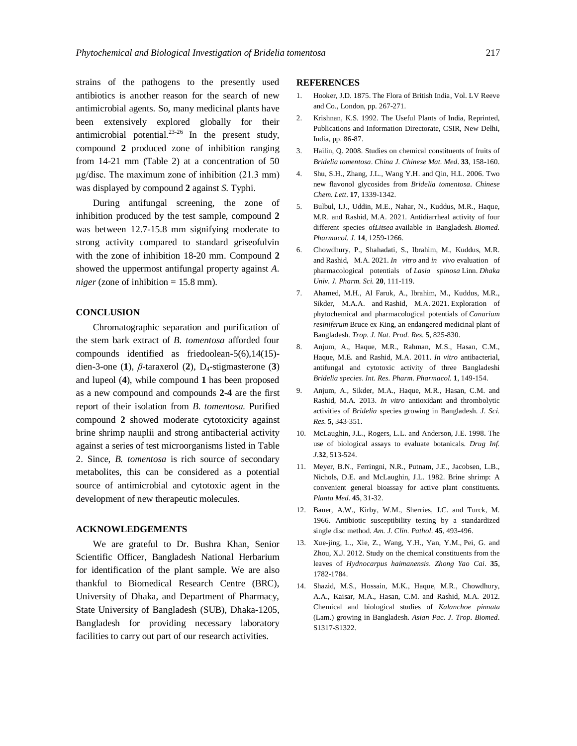strains of the pathogens to the presently used antibiotics is another reason for the search of new antimicrobial agents. So, many medicinal plants have been extensively explored globally for their antimicrobial potential.23-26 In the present study, compound **2** produced zone of inhibition ranging from 14-21 mm (Table 2) at a concentration of 50 μg/disc. The maximum zone of inhibition (21.3 mm) was displayed by compound **2** against *S.* Typhi.

During antifungal screening, the zone of inhibition produced by the test sample, compound **2** was between 12.7-15.8 mm signifying moderate to strong activity compared to standard griseofulvin with the zone of inhibition 18-20 mm. Compound **2** showed the uppermost antifungal property against *A. niger* (zone of inhibition = 15.8 mm).

#### **CONCLUSION**

Chromatographic separation and purification of the stem bark extract of *B. tomentosa* afforded four compounds identified as friedoolean-5(6),14(15) dien-3-one (**1**), *β*-taraxerol (**2**), D4-stigmasterone (**3**) and lupeol (**4**), while compound **1** has been proposed as a new compound and compounds **2**-**4** are the first report of their isolation from *B. tomentosa.* Purified compound **2** showed moderate cytotoxicity against brine shrimp nauplii and strong antibacterial activity against a series of test microorganisms listed in Table 2. Since, *B. tomentosa* is rich source of secondary metabolites, this can be considered as a potential source of antimicrobial and cytotoxic agent in the development of new therapeutic molecules.

## **ACKNOWLEDGEMENTS**

We are grateful to Dr. Bushra Khan, Senior Scientific Officer, Bangladesh National Herbarium for identification of the plant sample. We are also thankful to Biomedical Research Centre (BRC), University of Dhaka, and Department of Pharmacy, State University of Bangladesh (SUB), Dhaka-1205, Bangladesh for providing necessary laboratory facilities to carry out part of our research activities.

### **REFERENCES**

- 1. Hooker, J.D. 1875. The Flora of British India, Vol. LV Reeve and Co., London, pp. 267-271.
- 2. Krishnan, K.S. 1992. The Useful Plants of India, Reprinted, Publications and Information Directorate, CSIR, New Delhi, India, pp. 86-87.
- 3. Hailin, Q. 2008. Studies on chemical constituents of fruits of *Bridelia tomentosa*. *China J. Chinese Mat. Med*. **33**, 158-160.
- 4. Shu, S.H., Zhang, J.L., Wang Y.H. and Qin, H.L. 2006. Two new flavonol glycosides from *Bridelia tomentosa*. *Chinese Chem. Lett*. **17**, 1339-1342.
- 5. Bulbul, I.J., Uddin, M.E., Nahar, N., Kuddus, M.R., Haque, M.R. and Rashid, M.A. 2021. Antidiarrheal activity of four different species of*Litsea* available in Bangladesh. *Biomed. Pharmacol. J*. **14**, 1259-1266.
- 6. Chowdhury, P., Shahadati, S., Ibrahim, M., Kuddus, M.R. and Rashid, M.A. 2021. *In vitro* and *in vivo* evaluation of pharmacological potentials of *Lasia spinosa* Linn. *Dhaka Univ. J. Pharm. Sci.* **20**, 111-119.
- 7. Ahamed, M.H., Al Faruk, A., Ibrahim, M., Kuddus, M.R., Sikder, M.A.A. and Rashid, M.A. 2021. Exploration of phytochemical and pharmacological potentials of *Canarium resiniferum* Bruce ex King, an endangered medicinal plant of Bangladesh. *Trop. J. Nat. Prod. Res.* **5**, 825-830.
- 8. Anjum, A., Haque, M.R., Rahman, M.S., Hasan, C.M., Haque, M.E. and Rashid, M.A. 2011. *In vitro* antibacterial, antifungal and cytotoxic activity of three Bangladeshi *Bridelia species*. *Int. Res. Pharm. Pharmacol.* **1**, 149-154.
- 9. Anjum, A., Sikder, M.A., Haque, M.R., Hasan, C.M. and Rashid, M.A*.* 2013. *In vitro* antioxidant and thrombolytic activities of *Bridelia* species growing in Bangladesh. *J. Sci. Res.* **5**, 343-351.
- 10. McLaughin, J.L., Rogers, L.L. and Anderson, J.E. 1998. The use of biological assays to evaluate botanicals. *Drug Inf. J.***32**, 513-524.
- 11. Meyer, B.N., Ferringni, N.R., Putnam, J.E., Jacobsen, L.B., Nichols, D.E. and McLaughin, J.L. 1982. Brine shrimp: A convenient general bioassay for active plant constituents. *Planta Med*. **45**, 31-32.
- 12. Bauer, A.W., Kirby, W.M., Sherries, J.C. and Turck, M. 1966. Antibiotic susceptibility testing by a standardized single disc method. *Am. J. Clin. Pathol*. **45**, 493-496.
- 13. Xue-jing, L., Xie, Z., Wang, Y.H., Yan, Y.M., Pei, G. and Zhou, X.J. 2012. Study on the chemical constituents from the leaves of *Hydnocarpus haimanensis*. *Zhong Yao Cai*. **35**, 1782-1784.
- 14. Shazid, M.S., Hossain, M.K., Haque, M.R., Chowdhury, A.A., Kaisar, M.A., Hasan, C.M. and Rashid, M.A. 2012. Chemical and biological studies of *Kalanchoe pinnata* (Lam.) growing in Bangladesh. *Asian Pac. J. Trop. Biomed*. S1317-S1322.